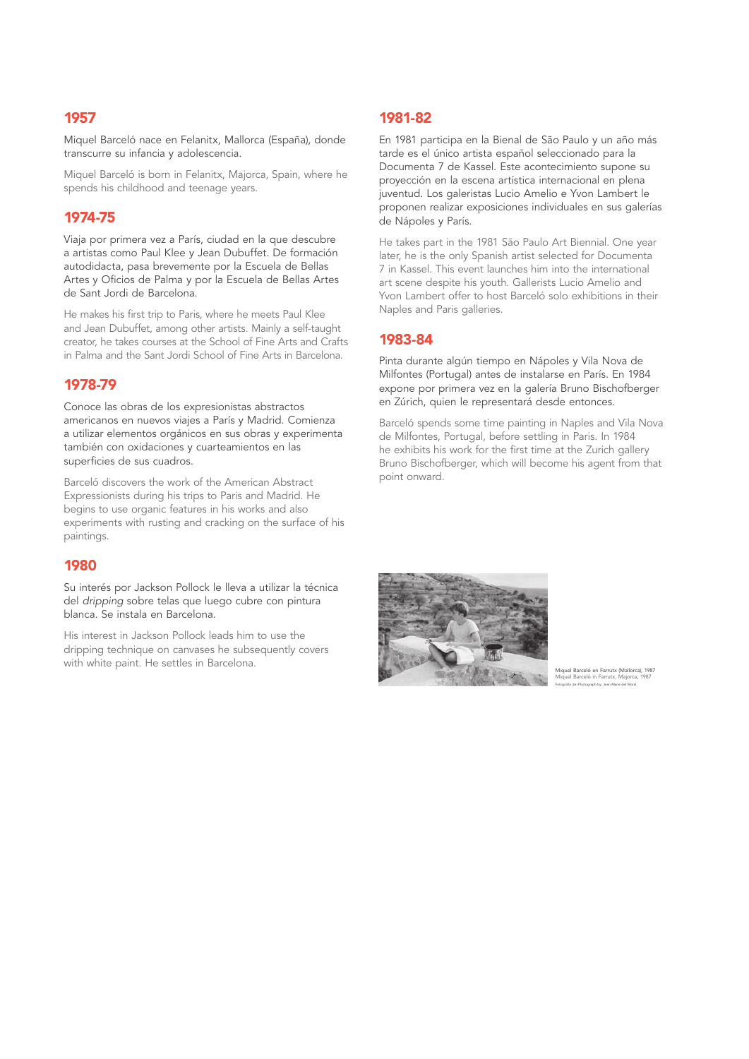Miquel Barceló nace en Felanitx, Mallorca (España), donde transcurre su infancia y adolescencia.

Miquel Barceló is born in Felanitx, Majorca, Spain, where he spends his childhood and teenage years.

# 1974-75

Viaja por primera vez a París, ciudad en la que descubre a artistas como Paul Klee y Jean Dubuffet. De formación autodidacta, pasa brevemente por la Escuela de Bellas Artes y Oficios de Palma y por la Escuela de Bellas Artes de Sant Jordi de Barcelona.

He makes his first trip to Paris, where he meets Paul Klee and Jean Dubuffet, among other artists. Mainly a self-taught creator, he takes courses at the School of Fine Arts and Crafts in Palma and the Sant Jordi School of Fine Arts in Barcelona.

# 1978-79

Conoce las obras de los expresionistas abstractos americanos en nuevos viajes a París y Madrid. Comienza a utilizar elementos orgánicos en sus obras y experimenta también con oxidaciones y cuarteamientos en las superficies de sus cuadros.

Barceló discovers the work of the American Abstract Expressionists during his trips to Paris and Madrid. He begins to use organic features in his works and also experiments with rusting and cracking on the surface of his paintings.

#### 1980

Su interés por Jackson Pollock le lleva a utilizar la técnica del *dripping* sobre telas que luego cubre con pintura blanca. Se instala en Barcelona.

His interest in Jackson Pollock leads him to use the dripping technique on canvases he subsequently covers with white paint. He settles in Barcelona.

# 1981-82

En 1981 participa en la Bienal de São Paulo y un año más tarde es el único artista español seleccionado para la Documenta 7 de Kassel. Este acontecimiento supone su proyección en la escena artística internacional en plena juventud. Los galeristas Lucio Amelio e Yvon Lambert le proponen realizar exposiciones individuales en sus galerías de Nápoles y París.

He takes part in the 1981 São Paulo Art Biennial. One year later, he is the only Spanish artist selected for Documenta 7 in Kassel. This event launches him into the international art scene despite his youth. Gallerists Lucio Amelio and Yvon Lambert offer to host Barceló solo exhibitions in their Naples and Paris galleries.

# 1983-84

Pinta durante algún tiempo en Nápoles y Vila Nova de Milfontes (Portugal) antes de instalarse en París. En 1984 expone por primera vez en la galería Bruno Bischofberger en Zúrich, quien le representará desde entonces.

Barceló spends some time painting in Naples and Vila Nova de Milfontes, Portugal, before settling in Paris. In 1984 he exhibits his work for the first time at the Zurich gallery Bruno Bischofberger, which will become his agent from that point onward.



Miquel Barceló en Farrutx (Mallorca), 1987 Miquel Barceló in Farrutx, Majorca, 1987 Fotografía de/Photograph by: Jean Marie del Moral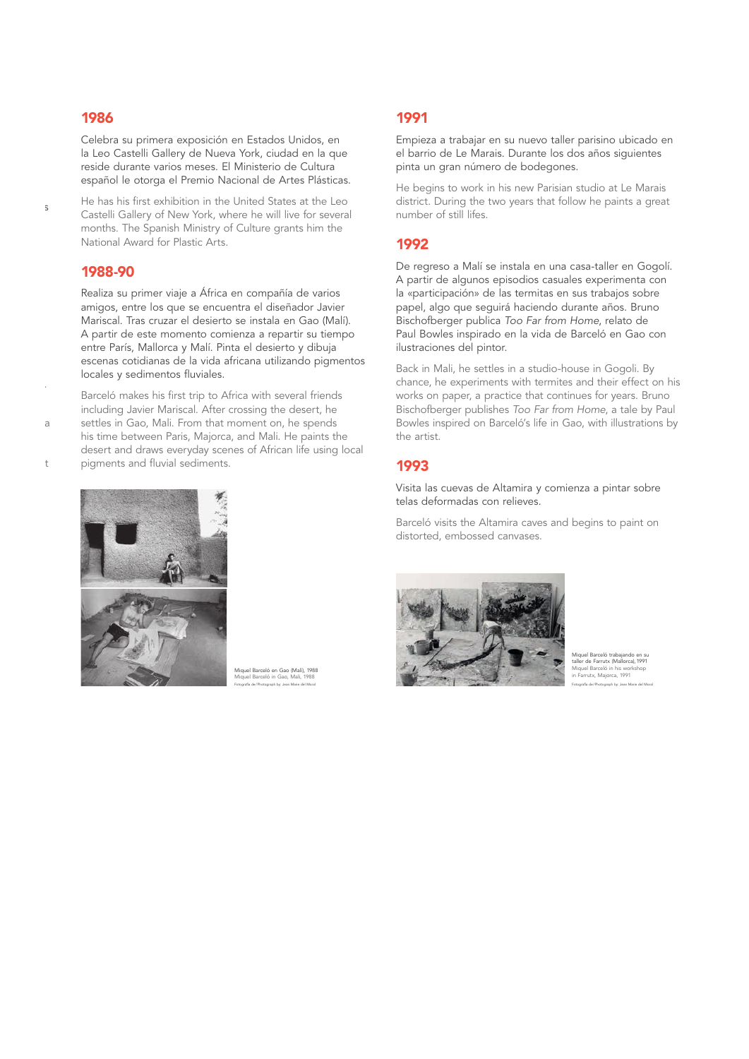proponen realizar exposiciones individuales en sus galerías

expone por primera vez en la galería Bruno Bischofberger

Barceló spends some time painting in Naples and Vila Nova

 $\mathbf{t}$ 

Celebra su primera exposición en Estados Unidos, en la Leo Castelli Gallery de Nueva York, ciudad en la que reside durante varios meses. El Ministerio de Cultura español le otorga el Premio Nacional de Artes Plásticas.

He has his first exhibition in the United States at the Leo Castelli Gallery of New York, where he will live for several months. The Spanish Ministry of Culture grants him the National Award for Plastic Arts.

#### 1988-90

Realiza su primer viaje a África en compañía de varios amigos, entre los que se encuentra el diseñador Javier Mariscal. Tras cruzar el desierto se instala en Gao (Malí). A partir de este momento comienza a repartir su tiempo entre París, Mallorca y Malí. Pinta el desierto y dibuja escenas cotidianas de la vida africana utilizando pigmentos locales y sedimentos fluviales.

Barceló makes his first trip to Africa with several friends including Javier Mariscal. After crossing the desert, he settles in Gao, Mali. From that moment on, he spends his time between Paris, Majorca, and Mali. He paints the desert and draws everyday scenes of African life using local pigments and fluvial sediments.



Miquel Barceló en Gao (Malí), 1988 Miquel Barceló in Gao, Mali, 1988 Fotografía de/Photograph by: Jean Marie del Moral

# 1991

Empieza a trabajar en su nuevo taller parisino ubicado en el barrio de Le Marais. Durante los dos años siguientes pinta un gran número de bodegones.

He begins to work in his new Parisian studio at Le Marais district. During the two years that follow he paints a great number of still lifes.

## 1992

De regreso a Malí se instala en una casa-taller en Gogolí. A partir de algunos episodios casuales experimenta con la «participación» de las termitas en sus trabajos sobre papel, algo que seguirá haciendo durante años. Bruno Bischofberger publica *Too Far from Home*, relato de Paul Bowles inspirado en la vida de Barceló en Gao con ilustraciones del pintor.

Back in Mali, he settles in a studio-house in Gogoli. By chance, he experiments with termites and their effect on his works on paper, a practice that continues for years. Bruno Bischofberger publishes *Too Far from Home*, a tale by Paul Bowles inspired on Barceló's life in Gao, with illustrations by the artist.

## 1993

Visita las cuevas de Altamira y comienza a pintar sobre telas deformadas con relieves.

Barceló visits the Altamira caves and begins to paint on distorted, embossed canvases.



Miquel Barceló trabajando en su taller de Farrutx (Mallorca), 1991 Miquel Barceló in his workshop in Farrutx, Majorca, 1991 Fotografía de/Photograph by: Jean Marie del Moral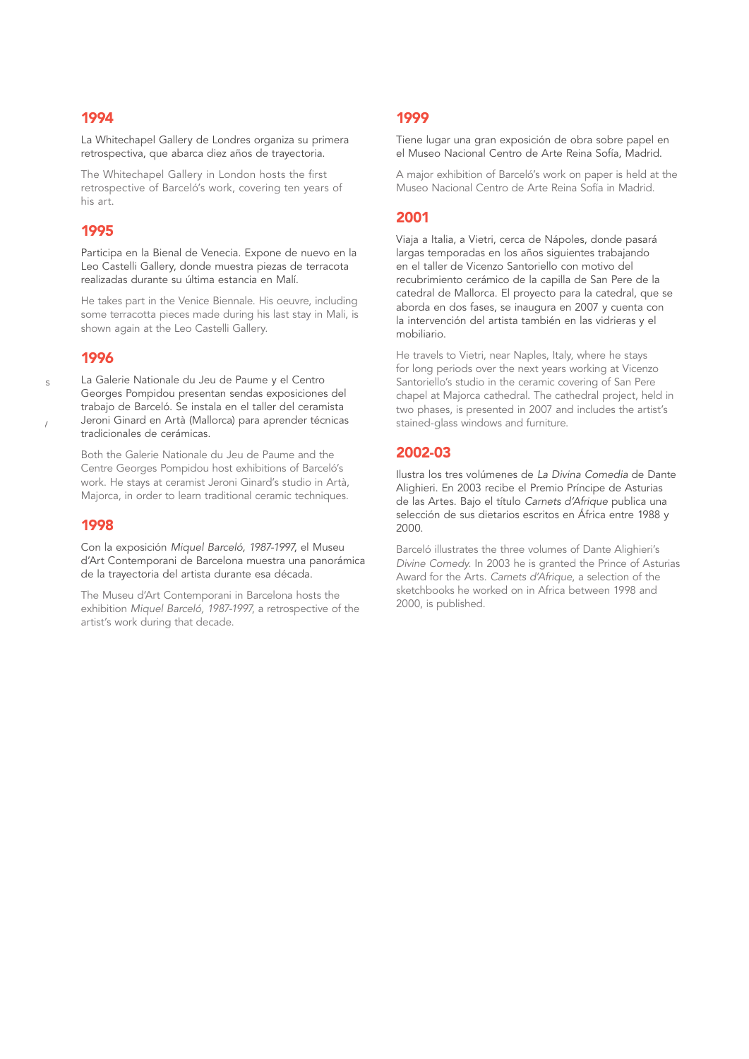La Whitechapel Gallery de Londres organiza su primera retrospectiva, que abarca diez años de trayectoria.

The Whitechapel Gallery in London hosts the first retrospective of Barceló's work, covering ten years of his art.

#### 1995

Participa en la Bienal de Venecia. Expone de nuevo en la Leo Castelli Gallery, donde muestra piezas de terracota realizadas durante su última estancia en Malí.

He takes part in the Venice Biennale. His oeuvre, including some terracotta pieces made during his last stay in Mali, is shown again at the Leo Castelli Gallery.

#### 1996

chance, he experiments with terminents with terminents with terminents with terminents and their effect on  $s$ 

 $\overline{\phantom{a}}$ 

La Galerie Nationale du Jeu de Paume y el Centro Georges Pompidou presentan sendas exposiciones del trabajo de Barceló. Se instala en el taller del ceramista Jeroni Ginard en Artà (Mallorca) para aprender técnicas tradicionales de cerámicas.

Both the Galerie Nationale du Jeu de Paume and the Centre Georges Pompidou host exhibitions of Barceló's work. He stays at ceramist Jeroni Ginard's studio in Artà, Majorca, in order to learn traditional ceramic techniques.

#### 1998

Con la exposición *Miquel Barceló, 1987-1997*, el Museu d'Art Contemporani de Barcelona muestra una panorámica de la trayectoria del artista durante esa década.

The Museu d'Art Contemporani in Barcelona hosts the exhibition *Miquel Barceló, 1987-1997*, a retrospective of the artist's work during that decade.

## 1999

Tiene lugar una gran exposición de obra sobre papel en el Museo Nacional Centro de Arte Reina Sofía, Madrid.

A major exhibition of Barceló's work on paper is held at the Museo Nacional Centro de Arte Reina Sofía in Madrid.

### 2001

Viaja a Italia, a Vietri, cerca de Nápoles, donde pasará largas temporadas en los años siguientes trabajando en el taller de Vicenzo Santoriello con motivo del recubrimiento cerámico de la capilla de San Pere de la catedral de Mallorca. El proyecto para la catedral, que se aborda en dos fases, se inaugura en 2007 y cuenta con la intervención del artista también en las vidrieras y el mobiliario.

He travels to Vietri, near Naples, Italy, where he stays for long periods over the next years working at Vicenzo Santoriello's studio in the ceramic covering of San Pere chapel at Majorca cathedral. The cathedral project, held in two phases, is presented in 2007 and includes the artist's stained-glass windows and furniture.

#### 2002-03

Ilustra los tres volúmenes de *La Divina Comedia* de Dante Alighieri. En 2003 recibe el Premio Príncipe de Asturias de las Artes. Bajo el título *Carnets d'Afrique* publica una selección de sus dietarios escritos en África entre 1988 y 2000.

Barceló illustrates the three volumes of Dante Alighieri's *Divine Comedy*. In 2003 he is granted the Prince of Asturias Award for the Arts. *Carnets d'Afrique*, a selection of the sketchbooks he worked on in Africa between 1998 and 2000, is published.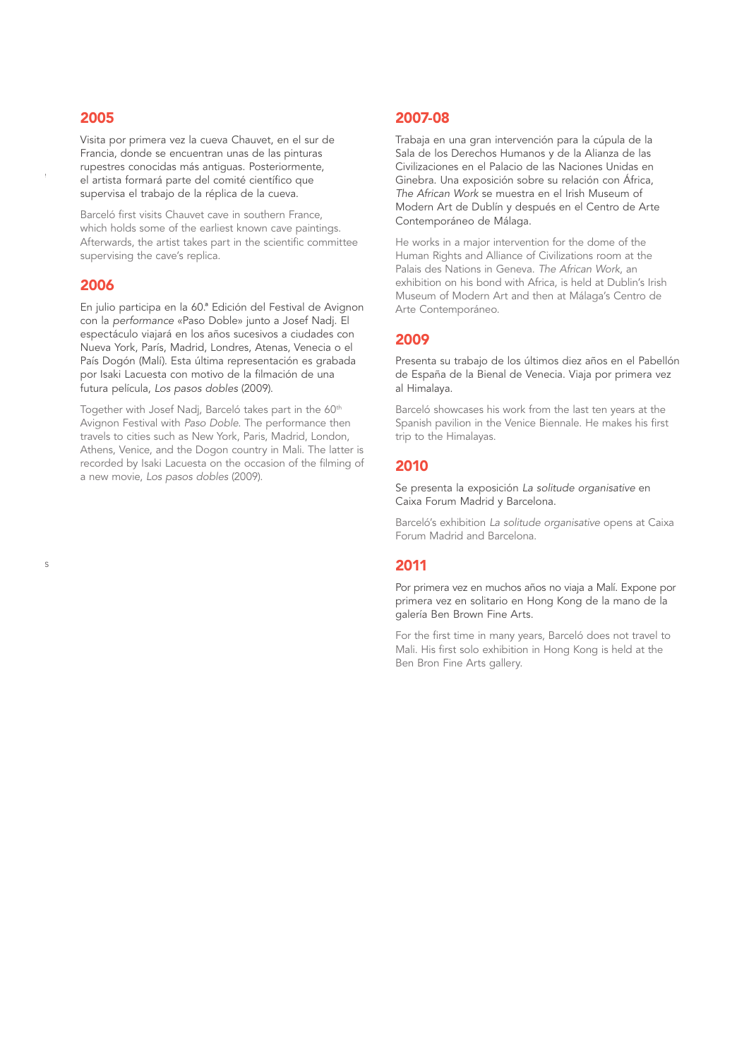$A$  major exhibition of  $\mathfrak{b}$ 

*Divine Comedy*. In 2003 he is granted the Prince of Asturias

Visita por primera vez la cueva Chauvet, en el sur de Francia, donde se encuentran unas de las pinturas rupestres conocidas más antiguas. Posteriormente, el artista formará parte del comité científico que supervisa el trabajo de la réplica de la cueva.

Barceló first visits Chauvet cave in southern France, which holds some of the earliest known cave paintings. Afterwards, the artist takes part in the scientific committee supervising the cave's replica.

#### 2006

En julio participa en la 60.ª Edición del Festival de Avignon con la *performance* «Paso Doble» junto a Josef Nadj. El espectáculo viajará en los años sucesivos a ciudades con Nueva York, París, Madrid, Londres, Atenas, Venecia o el País Dogón (Malí). Esta última representación es grabada por Isaki Lacuesta con motivo de la filmación de una futura película, *Los pasos dobles* (2009).

Together with Josef Nadj, Barceló takes part in the 60<sup>th</sup> Avignon Festival with *Paso Doble*. The performance then travels to cities such as New York, Paris, Madrid, London, Athens, Venice, and the Dogon country in Mali. The latter is recorded by Isaki Lacuesta on the occasion of the filming of a new movie, *Los pasos dobles* (2009).

# 2007-08

Trabaja en una gran intervención para la cúpula de la Sala de los Derechos Humanos y de la Alianza de las Civilizaciones en el Palacio de las Naciones Unidas en Ginebra. Una exposición sobre su relación con África, *The African Work* se muestra en el Irish Museum of Modern Art de Dublín y después en el Centro de Arte Contemporáneo de Málaga.

He works in a major intervention for the dome of the Human Rights and Alliance of Civilizations room at the Palais des Nations in Geneva. *The African Work*, an exhibition on his bond with Africa, is held at Dublin's Irish Museum of Modern Art and then at Málaga's Centro de Arte Contemporáneo.

#### 2009

Presenta su trabajo de los últimos diez años en el Pabellón de España de la Bienal de Venecia. Viaja por primera vez al Himalaya.

Barceló showcases his work from the last ten years at the Spanish pavilion in the Venice Biennale. He makes his first trip to the Himalayas.

#### 2010

Se presenta la exposición *La solitude organisative* en Caixa Forum Madrid y Barcelona.

Barceló's exhibition *La solitude organisative* opens at Caixa Forum Madrid and Barcelona.

#### 2011

Por primera vez en muchos años no viaja a Malí. Expone por primera vez en solitario en Hong Kong de la mano de la galería Ben Brown Fine Arts.

For the first time in many years, Barceló does not travel to Mali. His first solo exhibition in Hong Kong is held at the Ben Bron Fine Arts gallery.